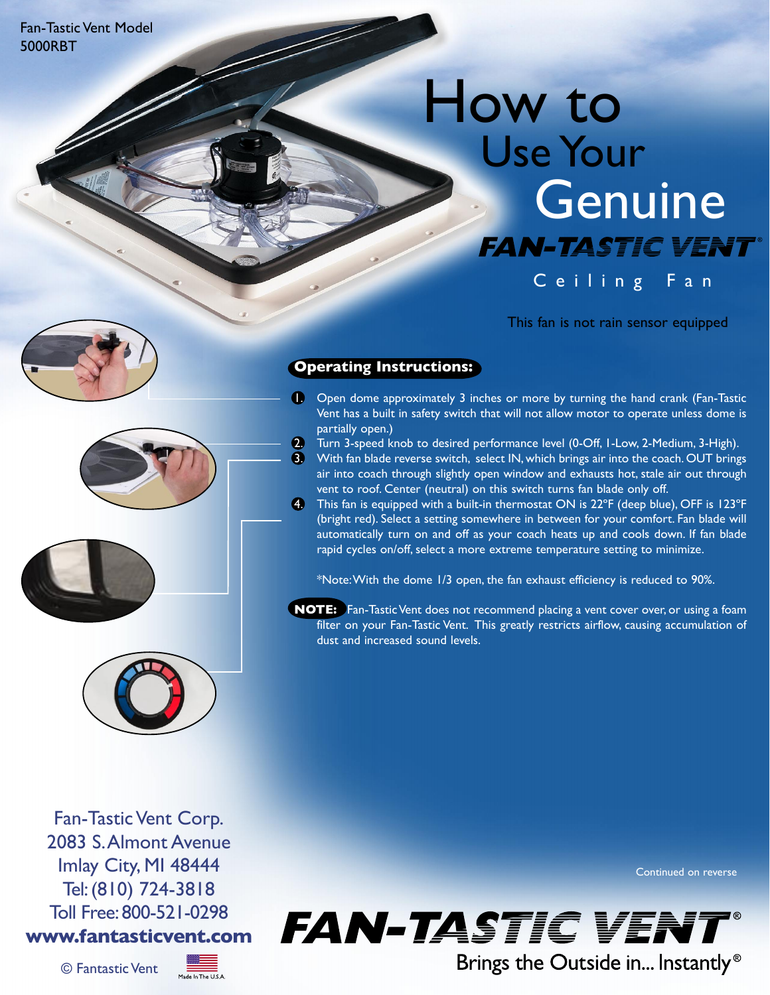Fan-Tastic Vent Model 5000RBT

## How to Use Your **Genuine FAN-TASTIC VENT®** Ceiling Fan

This fan is not rain sensor equipped







**Operating Instructions:**

- 1. Open dome approximately 3 inches or more by turning the hand crank (Fan-Tastic Vent has a built in safety switch that will not allow motor to operate unless dome is partially open.)
- 2. Turn 3-speed knob to desired performance level (0-Off, I-Low, 2-Medium, 3-High).
- 3. With fan blade reverse switch, select IN, which brings air into the coach. OUT brings air into coach through slightly open window and exhausts hot, stale air out through an met teath an eigheight, yn parlameth an 'enhaned her, ean an eil.<br>vent to roof. Center (neutral) on this switch turns fan blade only off.
- 4. This fan is equipped with a built-in thermostat ON is 22 $\degree$ F (deep blue), OFF is 123 $\degree$ F (bright red). Select a setting somewhere in between for your comfort. Fan blade will automatically turn on and off as your coach heats up and cools down. If fan blade rapid cycles on/off, select a more extreme temperature setting to minimize.

\*Note: With the dome 1/3 open, the fan exhaust efficiency is reduced to 90%.

**NOTE:** Fan-Tastic Vent does not recommend placing a vent cover over, or using a foam filter on your Fan-Tastic Vent. This greatly restricts airflow, causing accumulation of dust and increased sound levels.

Fan-Tastic Vent Corp. 2083 S.Almont Avenue Imlay City, MI 48444 Tel:(810) 724-3818 Toll Free: 800-521-0298 **www.fantasticvent.com**



Continued on reverse



Brings the Outside in... Instantly<sup>®</sup>